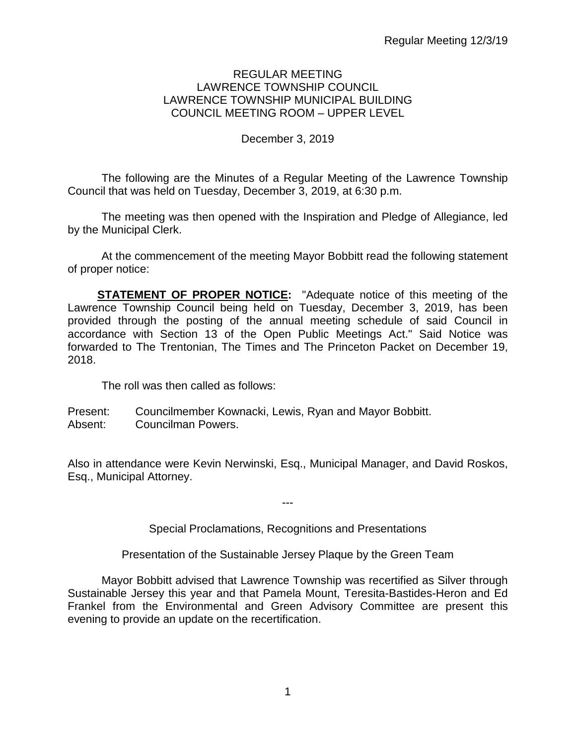### REGULAR MEETING LAWRENCE TOWNSHIP COUNCIL LAWRENCE TOWNSHIP MUNICIPAL BUILDING COUNCIL MEETING ROOM – UPPER LEVEL

## December 3, 2019

The following are the Minutes of a Regular Meeting of the Lawrence Township Council that was held on Tuesday, December 3, 2019, at 6:30 p.m.

The meeting was then opened with the Inspiration and Pledge of Allegiance, led by the Municipal Clerk.

At the commencement of the meeting Mayor Bobbitt read the following statement of proper notice:

**STATEMENT OF PROPER NOTICE:** "Adequate notice of this meeting of the Lawrence Township Council being held on Tuesday, December 3, 2019, has been provided through the posting of the annual meeting schedule of said Council in accordance with Section 13 of the Open Public Meetings Act." Said Notice was forwarded to The Trentonian, The Times and The Princeton Packet on December 19, 2018.

The roll was then called as follows:

Present: Councilmember Kownacki, Lewis, Ryan and Mayor Bobbitt. Absent: Councilman Powers.

Also in attendance were Kevin Nerwinski, Esq., Municipal Manager, and David Roskos, Esq., Municipal Attorney.

---

Special Proclamations, Recognitions and Presentations

Presentation of the Sustainable Jersey Plaque by the Green Team

Mayor Bobbitt advised that Lawrence Township was recertified as Silver through Sustainable Jersey this year and that Pamela Mount, Teresita-Bastides-Heron and Ed Frankel from the Environmental and Green Advisory Committee are present this evening to provide an update on the recertification.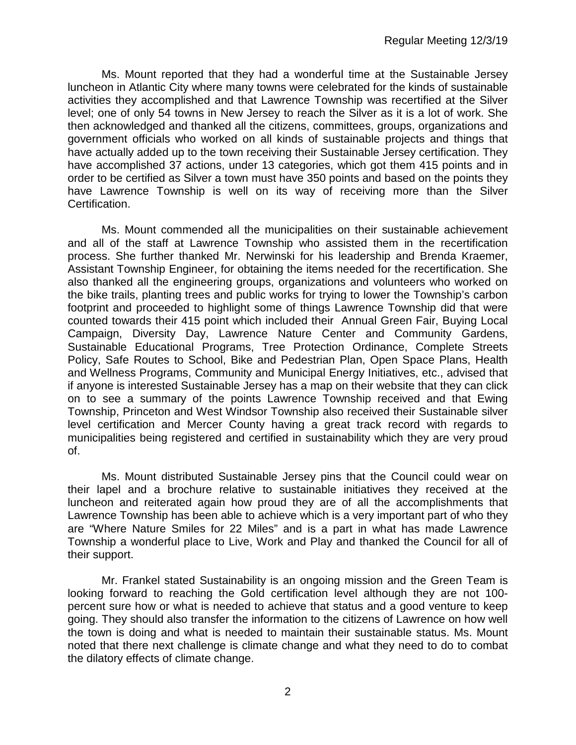Ms. Mount reported that they had a wonderful time at the Sustainable Jersey luncheon in Atlantic City where many towns were celebrated for the kinds of sustainable activities they accomplished and that Lawrence Township was recertified at the Silver level; one of only 54 towns in New Jersey to reach the Silver as it is a lot of work. She then acknowledged and thanked all the citizens, committees, groups, organizations and government officials who worked on all kinds of sustainable projects and things that have actually added up to the town receiving their Sustainable Jersey certification. They have accomplished 37 actions, under 13 categories, which got them 415 points and in order to be certified as Silver a town must have 350 points and based on the points they have Lawrence Township is well on its way of receiving more than the Silver Certification.

Ms. Mount commended all the municipalities on their sustainable achievement and all of the staff at Lawrence Township who assisted them in the recertification process. She further thanked Mr. Nerwinski for his leadership and Brenda Kraemer, Assistant Township Engineer, for obtaining the items needed for the recertification. She also thanked all the engineering groups, organizations and volunteers who worked on the bike trails, planting trees and public works for trying to lower the Township's carbon footprint and proceeded to highlight some of things Lawrence Township did that were counted towards their 415 point which included their Annual Green Fair, Buying Local Campaign, Diversity Day, Lawrence Nature Center and Community Gardens, Sustainable Educational Programs, Tree Protection Ordinance, Complete Streets Policy, Safe Routes to School, Bike and Pedestrian Plan, Open Space Plans, Health and Wellness Programs, Community and Municipal Energy Initiatives, etc., advised that if anyone is interested Sustainable Jersey has a map on their website that they can click on to see a summary of the points Lawrence Township received and that Ewing Township, Princeton and West Windsor Township also received their Sustainable silver level certification and Mercer County having a great track record with regards to municipalities being registered and certified in sustainability which they are very proud of.

Ms. Mount distributed Sustainable Jersey pins that the Council could wear on their lapel and a brochure relative to sustainable initiatives they received at the luncheon and reiterated again how proud they are of all the accomplishments that Lawrence Township has been able to achieve which is a very important part of who they are "Where Nature Smiles for 22 Miles" and is a part in what has made Lawrence Township a wonderful place to Live, Work and Play and thanked the Council for all of their support.

Mr. Frankel stated Sustainability is an ongoing mission and the Green Team is looking forward to reaching the Gold certification level although they are not 100 percent sure how or what is needed to achieve that status and a good venture to keep going. They should also transfer the information to the citizens of Lawrence on how well the town is doing and what is needed to maintain their sustainable status. Ms. Mount noted that there next challenge is climate change and what they need to do to combat the dilatory effects of climate change.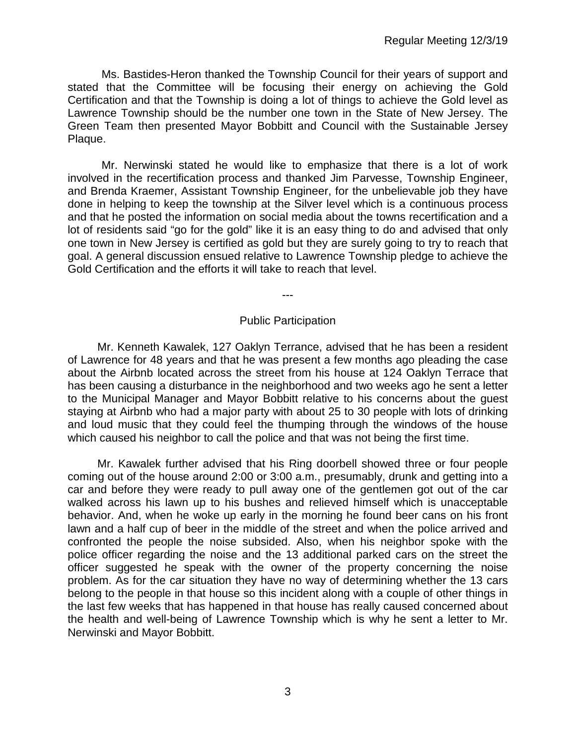Ms. Bastides-Heron thanked the Township Council for their years of support and stated that the Committee will be focusing their energy on achieving the Gold Certification and that the Township is doing a lot of things to achieve the Gold level as Lawrence Township should be the number one town in the State of New Jersey. The Green Team then presented Mayor Bobbitt and Council with the Sustainable Jersey Plaque.

Mr. Nerwinski stated he would like to emphasize that there is a lot of work involved in the recertification process and thanked Jim Parvesse, Township Engineer, and Brenda Kraemer, Assistant Township Engineer, for the unbelievable job they have done in helping to keep the township at the Silver level which is a continuous process and that he posted the information on social media about the towns recertification and a lot of residents said "go for the gold" like it is an easy thing to do and advised that only one town in New Jersey is certified as gold but they are surely going to try to reach that goal. A general discussion ensued relative to Lawrence Township pledge to achieve the Gold Certification and the efforts it will take to reach that level.

---

#### Public Participation

Mr. Kenneth Kawalek, 127 Oaklyn Terrance, advised that he has been a resident of Lawrence for 48 years and that he was present a few months ago pleading the case about the Airbnb located across the street from his house at 124 Oaklyn Terrace that has been causing a disturbance in the neighborhood and two weeks ago he sent a letter to the Municipal Manager and Mayor Bobbitt relative to his concerns about the guest staying at Airbnb who had a major party with about 25 to 30 people with lots of drinking and loud music that they could feel the thumping through the windows of the house which caused his neighbor to call the police and that was not being the first time.

Mr. Kawalek further advised that his Ring doorbell showed three or four people coming out of the house around 2:00 or 3:00 a.m., presumably, drunk and getting into a car and before they were ready to pull away one of the gentlemen got out of the car walked across his lawn up to his bushes and relieved himself which is unacceptable behavior. And, when he woke up early in the morning he found beer cans on his front lawn and a half cup of beer in the middle of the street and when the police arrived and confronted the people the noise subsided. Also, when his neighbor spoke with the police officer regarding the noise and the 13 additional parked cars on the street the officer suggested he speak with the owner of the property concerning the noise problem. As for the car situation they have no way of determining whether the 13 cars belong to the people in that house so this incident along with a couple of other things in the last few weeks that has happened in that house has really caused concerned about the health and well-being of Lawrence Township which is why he sent a letter to Mr. Nerwinski and Mayor Bobbitt.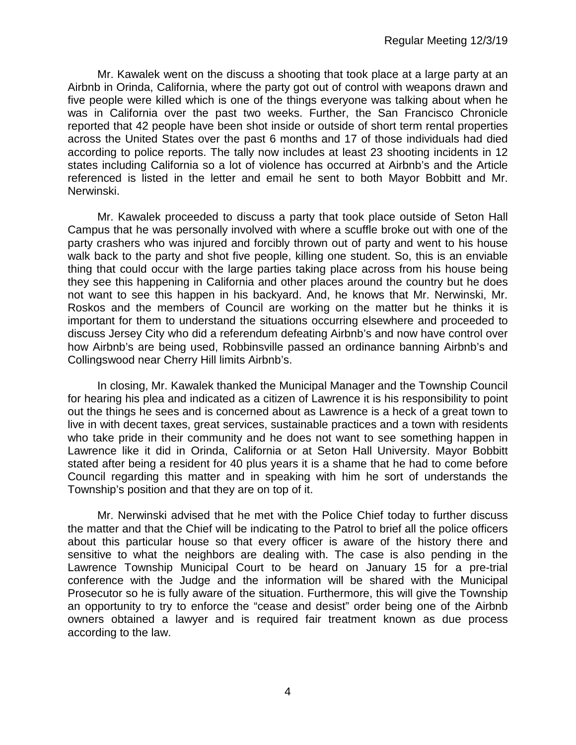Mr. Kawalek went on the discuss a shooting that took place at a large party at an Airbnb in Orinda, California, where the party got out of control with weapons drawn and five people were killed which is one of the things everyone was talking about when he was in California over the past two weeks. Further, the San Francisco Chronicle reported that 42 people have been shot inside or outside of short term rental properties across the United States over the past 6 months and 17 of those individuals had died according to police reports. The tally now includes at least 23 shooting incidents in 12 states including California so a lot of violence has occurred at Airbnb's and the Article referenced is listed in the letter and email he sent to both Mayor Bobbitt and Mr. Nerwinski.

Mr. Kawalek proceeded to discuss a party that took place outside of Seton Hall Campus that he was personally involved with where a scuffle broke out with one of the party crashers who was injured and forcibly thrown out of party and went to his house walk back to the party and shot five people, killing one student. So, this is an enviable thing that could occur with the large parties taking place across from his house being they see this happening in California and other places around the country but he does not want to see this happen in his backyard. And, he knows that Mr. Nerwinski, Mr. Roskos and the members of Council are working on the matter but he thinks it is important for them to understand the situations occurring elsewhere and proceeded to discuss Jersey City who did a referendum defeating Airbnb's and now have control over how Airbnb's are being used, Robbinsville passed an ordinance banning Airbnb's and Collingswood near Cherry Hill limits Airbnb's.

In closing, Mr. Kawalek thanked the Municipal Manager and the Township Council for hearing his plea and indicated as a citizen of Lawrence it is his responsibility to point out the things he sees and is concerned about as Lawrence is a heck of a great town to live in with decent taxes, great services, sustainable practices and a town with residents who take pride in their community and he does not want to see something happen in Lawrence like it did in Orinda, California or at Seton Hall University. Mayor Bobbitt stated after being a resident for 40 plus years it is a shame that he had to come before Council regarding this matter and in speaking with him he sort of understands the Township's position and that they are on top of it.

Mr. Nerwinski advised that he met with the Police Chief today to further discuss the matter and that the Chief will be indicating to the Patrol to brief all the police officers about this particular house so that every officer is aware of the history there and sensitive to what the neighbors are dealing with. The case is also pending in the Lawrence Township Municipal Court to be heard on January 15 for a pre-trial conference with the Judge and the information will be shared with the Municipal Prosecutor so he is fully aware of the situation. Furthermore, this will give the Township an opportunity to try to enforce the "cease and desist" order being one of the Airbnb owners obtained a lawyer and is required fair treatment known as due process according to the law.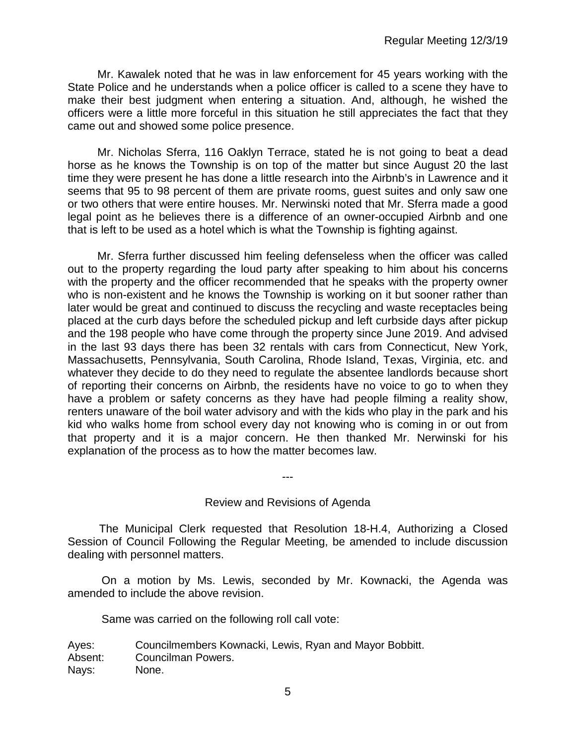Mr. Kawalek noted that he was in law enforcement for 45 years working with the State Police and he understands when a police officer is called to a scene they have to make their best judgment when entering a situation. And, although, he wished the officers were a little more forceful in this situation he still appreciates the fact that they came out and showed some police presence.

Mr. Nicholas Sferra, 116 Oaklyn Terrace, stated he is not going to beat a dead horse as he knows the Township is on top of the matter but since August 20 the last time they were present he has done a little research into the Airbnb's in Lawrence and it seems that 95 to 98 percent of them are private rooms, guest suites and only saw one or two others that were entire houses. Mr. Nerwinski noted that Mr. Sferra made a good legal point as he believes there is a difference of an owner-occupied Airbnb and one that is left to be used as a hotel which is what the Township is fighting against.

Mr. Sferra further discussed him feeling defenseless when the officer was called out to the property regarding the loud party after speaking to him about his concerns with the property and the officer recommended that he speaks with the property owner who is non-existent and he knows the Township is working on it but sooner rather than later would be great and continued to discuss the recycling and waste receptacles being placed at the curb days before the scheduled pickup and left curbside days after pickup and the 198 people who have come through the property since June 2019. And advised in the last 93 days there has been 32 rentals with cars from Connecticut, New York, Massachusetts, Pennsylvania, South Carolina, Rhode Island, Texas, Virginia, etc. and whatever they decide to do they need to regulate the absentee landlords because short of reporting their concerns on Airbnb, the residents have no voice to go to when they have a problem or safety concerns as they have had people filming a reality show, renters unaware of the boil water advisory and with the kids who play in the park and his kid who walks home from school every day not knowing who is coming in or out from that property and it is a major concern. He then thanked Mr. Nerwinski for his explanation of the process as to how the matter becomes law.

Review and Revisions of Agenda

---

 The Municipal Clerk requested that Resolution 18-H.4, Authorizing a Closed Session of Council Following the Regular Meeting, be amended to include discussion dealing with personnel matters.

On a motion by Ms. Lewis, seconded by Mr. Kownacki, the Agenda was amended to include the above revision.

Same was carried on the following roll call vote:

Ayes: Councilmembers Kownacki, Lewis, Ryan and Mayor Bobbitt. Absent: Councilman Powers. Nays: None.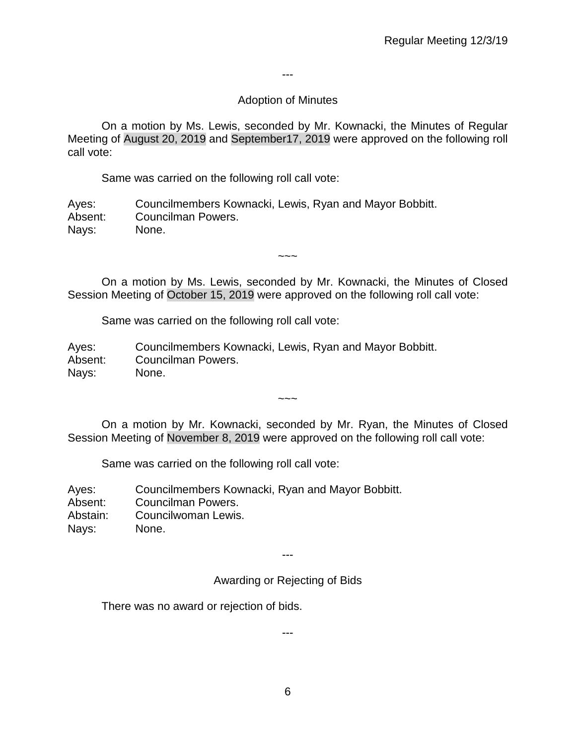---

# Adoption of Minutes

On a motion by Ms. Lewis, seconded by Mr. Kownacki, the Minutes of Regular Meeting of August 20, 2019 and September17, 2019 were approved on the following roll call vote:

Same was carried on the following roll call vote:

Ayes: Councilmembers Kownacki, Lewis, Ryan and Mayor Bobbitt. Absent: Councilman Powers. Nays: None.

On a motion by Ms. Lewis, seconded by Mr. Kownacki, the Minutes of Closed Session Meeting of October 15, 2019 were approved on the following roll call vote:

 $\sim\sim\sim$ 

Same was carried on the following roll call vote:

Ayes: Councilmembers Kownacki, Lewis, Ryan and Mayor Bobbitt. Absent: Councilman Powers. Nays: None.

On a motion by Mr. Kownacki, seconded by Mr. Ryan, the Minutes of Closed Session Meeting of November 8, 2019 were approved on the following roll call vote:

 $\sim\sim\sim$ 

Same was carried on the following roll call vote:

| Ayes:    | Councilmembers Kownacki, Ryan and Mayor Bobbitt. |
|----------|--------------------------------------------------|
| Absent:  | Councilman Powers.                               |
| Abstain: | Councilwoman Lewis.                              |
| Nays:    | None.                                            |

---

Awarding or Rejecting of Bids

There was no award or rejection of bids.

---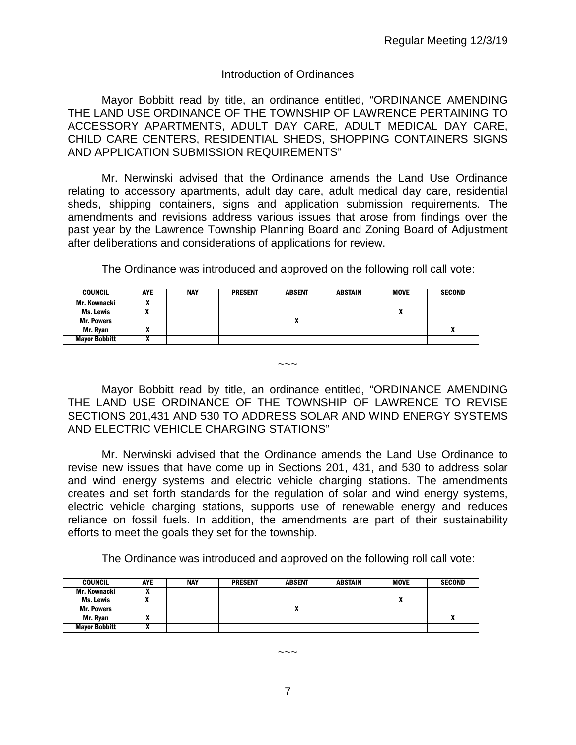#### Introduction of Ordinances

Mayor Bobbitt read by title, an ordinance entitled, "ORDINANCE AMENDING THE LAND USE ORDINANCE OF THE TOWNSHIP OF LAWRENCE PERTAINING TO ACCESSORY APARTMENTS, ADULT DAY CARE, ADULT MEDICAL DAY CARE, CHILD CARE CENTERS, RESIDENTIAL SHEDS, SHOPPING CONTAINERS SIGNS AND APPLICATION SUBMISSION REQUIREMENTS"

Mr. Nerwinski advised that the Ordinance amends the Land Use Ordinance relating to accessory apartments, adult day care, adult medical day care, residential sheds, shipping containers, signs and application submission requirements. The amendments and revisions address various issues that arose from findings over the past year by the Lawrence Township Planning Board and Zoning Board of Adjustment after deliberations and considerations of applications for review.

The Ordinance was introduced and approved on the following roll call vote:

| <b>COUNCIL</b>       | <b>AYE</b> | NAY | <b>PRESENT</b> | <b>ABSENT</b> | <b>ABSTAIN</b> | MOVE | <b>SECOND</b> |
|----------------------|------------|-----|----------------|---------------|----------------|------|---------------|
| Mr. Kownacki         |            |     |                |               |                |      |               |
| Ms. Lewis            |            |     |                |               |                | n    |               |
| <b>Mr. Powers</b>    |            |     |                |               |                |      |               |
| Mr. Rvan             |            |     |                |               |                |      |               |
| <b>Mayor Bobbitt</b> |            |     |                |               |                |      |               |

Mayor Bobbitt read by title, an ordinance entitled, "ORDINANCE AMENDING THE LAND USE ORDINANCE OF THE TOWNSHIP OF LAWRENCE TO REVISE SECTIONS 201,431 AND 530 TO ADDRESS SOLAR AND WIND ENERGY SYSTEMS AND ELECTRIC VEHICLE CHARGING STATIONS"

 $\sim\sim\sim$ 

Mr. Nerwinski advised that the Ordinance amends the Land Use Ordinance to revise new issues that have come up in Sections 201, 431, and 530 to address solar and wind energy systems and electric vehicle charging stations. The amendments creates and set forth standards for the regulation of solar and wind energy systems, electric vehicle charging stations, supports use of renewable energy and reduces reliance on fossil fuels. In addition, the amendments are part of their sustainability efforts to meet the goals they set for the township.

The Ordinance was introduced and approved on the following roll call vote:

| <b>COUNCIL</b>       | AYE | <b>NAY</b> | <b>PRESENT</b> | <b>ABSENT</b> | <b>ABSTAIN</b> | <b>MOVE</b> | <b>SECOND</b> |
|----------------------|-----|------------|----------------|---------------|----------------|-------------|---------------|
| Mr. Kownacki         | ,,  |            |                |               |                |             |               |
| Ms. Lewis            |     |            |                |               |                |             |               |
| <b>Mr. Powers</b>    |     |            |                |               |                |             |               |
| Mr. Rvan             |     |            |                |               |                |             |               |
| <b>Mayor Bobbitt</b> |     |            |                |               |                |             |               |

 $\sim\sim\sim$ 

7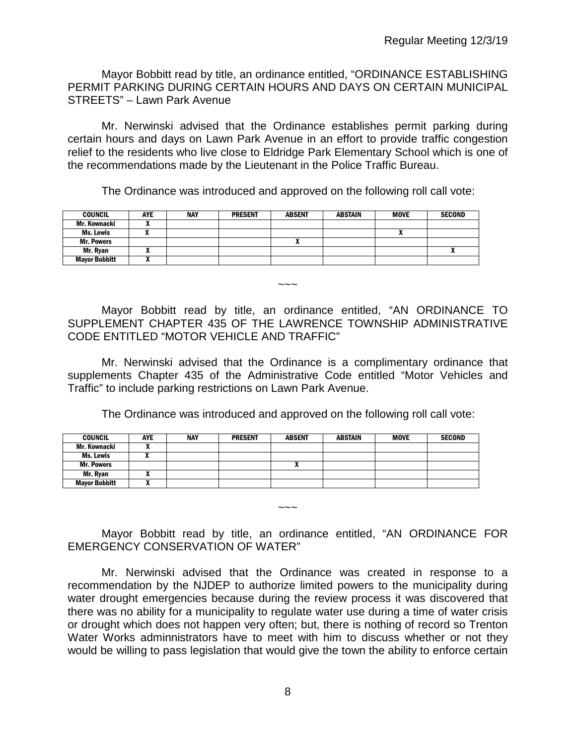Mayor Bobbitt read by title, an ordinance entitled, "ORDINANCE ESTABLISHING PERMIT PARKING DURING CERTAIN HOURS AND DAYS ON CERTAIN MUNICIPAL STREETS" – Lawn Park Avenue

Mr. Nerwinski advised that the Ordinance establishes permit parking during certain hours and days on Lawn Park Avenue in an effort to provide traffic congestion relief to the residents who live close to Eldridge Park Elementary School which is one of the recommendations made by the Lieutenant in the Police Traffic Bureau.

The Ordinance was introduced and approved on the following roll call vote:

| <b>COUNCIL</b>       | AYE | <b>NAY</b> | <b>PRESENT</b> | <b>ABSENT</b> | <b>ABSTAIN</b> | <b>MOVE</b> | <b>SECOND</b> |
|----------------------|-----|------------|----------------|---------------|----------------|-------------|---------------|
| Mr. Kownacki         |     |            |                |               |                |             |               |
| Ms. Lewis            |     |            |                |               |                |             |               |
| <b>Mr. Powers</b>    |     |            |                |               |                |             |               |
| Mr. Rvan             |     |            |                |               |                |             | $\mathbf{v}$  |
| <b>Mayor Bobbitt</b> |     |            |                |               |                |             |               |

Mayor Bobbitt read by title, an ordinance entitled, "AN ORDINANCE TO SUPPLEMENT CHAPTER 435 OF THE LAWRENCE TOWNSHIP ADMINISTRATIVE CODE ENTITLED "MOTOR VEHICLE AND TRAFFIC"

 $\sim\sim\sim$ 

Mr. Nerwinski advised that the Ordinance is a complimentary ordinance that supplements Chapter 435 of the Administrative Code entitled "Motor Vehicles and Traffic" to include parking restrictions on Lawn Park Avenue.

The Ordinance was introduced and approved on the following roll call vote:

| <b>COUNCIL</b>       | <b>AYE</b> | <b>NAY</b> | <b>PRESENT</b> | <b>ABSENT</b> | <b>ABSTAIN</b> | <b>MOVE</b> | <b>SECOND</b> |
|----------------------|------------|------------|----------------|---------------|----------------|-------------|---------------|
| Mr. Kownacki         | ,,         |            |                |               |                |             |               |
| Ms. Lewis            |            |            |                |               |                |             |               |
| <b>Mr. Powers</b>    |            |            |                | Λ             |                |             |               |
| Mr. Ryan             |            |            |                |               |                |             |               |
| <b>Mayor Bobbitt</b> | "          |            |                |               |                |             |               |

Mayor Bobbitt read by title, an ordinance entitled, "AN ORDINANCE FOR EMERGENCY CONSERVATION OF WATER"

 $\sim\sim\sim$ 

Mr. Nerwinski advised that the Ordinance was created in response to a recommendation by the NJDEP to authorize limited powers to the municipality during water drought emergencies because during the review process it was discovered that there was no ability for a municipality to regulate water use during a time of water crisis or drought which does not happen very often; but, there is nothing of record so Trenton Water Works adminnistrators have to meet with him to discuss whether or not they would be willing to pass legislation that would give the town the ability to enforce certain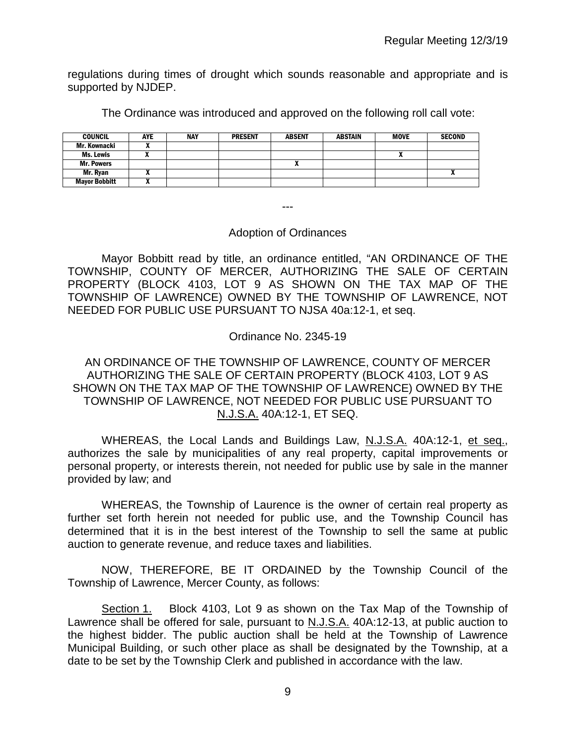regulations during times of drought which sounds reasonable and appropriate and is supported by NJDEP.

The Ordinance was introduced and approved on the following roll call vote:

| <b>COUNCIL</b>       | <b>AYE</b> | <b>NAY</b> | <b>PRESENT</b> | <b>ABSENT</b> | <b>ABSTAIN</b> | <b>MOVE</b> | <b>SECOND</b>              |
|----------------------|------------|------------|----------------|---------------|----------------|-------------|----------------------------|
| Mr. Kownacki         |            |            |                |               |                |             |                            |
| Ms. Lewis            |            |            |                |               |                |             |                            |
| <b>Mr. Powers</b>    |            |            |                | ^             |                |             |                            |
| Mr. Rvan             |            |            |                |               |                |             | $\boldsymbol{\mathcal{L}}$ |
| <b>Mayor Bobbitt</b> |            |            |                |               |                |             |                            |

---

### Adoption of Ordinances

Mayor Bobbitt read by title, an ordinance entitled, "AN ORDINANCE OF THE TOWNSHIP, COUNTY OF MERCER, AUTHORIZING THE SALE OF CERTAIN PROPERTY (BLOCK 4103, LOT 9 AS SHOWN ON THE TAX MAP OF THE TOWNSHIP OF LAWRENCE) OWNED BY THE TOWNSHIP OF LAWRENCE, NOT NEEDED FOR PUBLIC USE PURSUANT TO NJSA 40a:12-1, et seq.

Ordinance No. 2345-19

## AN ORDINANCE OF THE TOWNSHIP OF LAWRENCE, COUNTY OF MERCER AUTHORIZING THE SALE OF CERTAIN PROPERTY (BLOCK 4103, LOT 9 AS SHOWN ON THE TAX MAP OF THE TOWNSHIP OF LAWRENCE) OWNED BY THE TOWNSHIP OF LAWRENCE, NOT NEEDED FOR PUBLIC USE PURSUANT TO N.J.S.A. 40A:12-1, ET SEQ.

WHEREAS, the Local Lands and Buildings Law, N.J.S.A. 40A:12-1, et seq., authorizes the sale by municipalities of any real property, capital improvements or personal property, or interests therein, not needed for public use by sale in the manner provided by law; and

WHEREAS, the Township of Laurence is the owner of certain real property as further set forth herein not needed for public use, and the Township Council has determined that it is in the best interest of the Township to sell the same at public auction to generate revenue, and reduce taxes and liabilities.

NOW, THEREFORE, BE IT ORDAINED by the Township Council of the Township of Lawrence, Mercer County, as follows:

Section 1. Block 4103, Lot 9 as shown on the Tax Map of the Township of Lawrence shall be offered for sale, pursuant to N.J.S.A. 40A:12-13, at public auction to the highest bidder. The public auction shall be held at the Township of Lawrence Municipal Building, or such other place as shall be designated by the Township, at a date to be set by the Township Clerk and published in accordance with the law.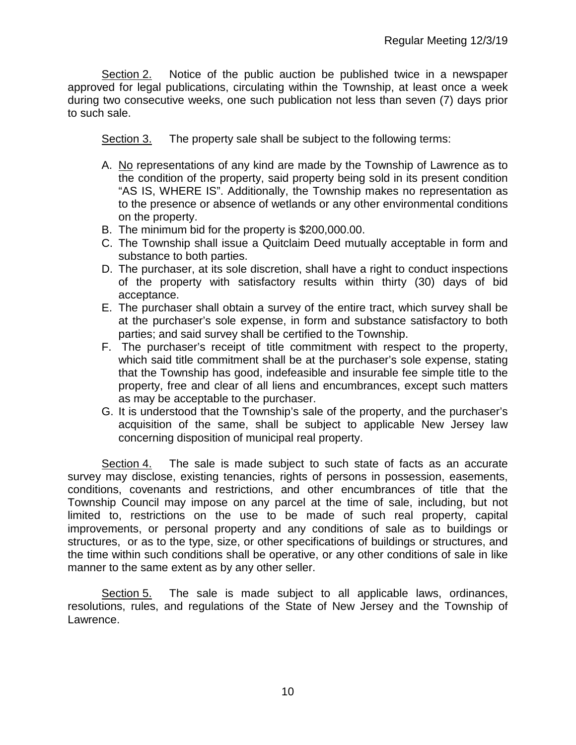Section 2. Notice of the public auction be published twice in a newspaper approved for legal publications, circulating within the Township, at least once a week during two consecutive weeks, one such publication not less than seven (7) days prior to such sale.

Section 3. The property sale shall be subject to the following terms:

- A. No representations of any kind are made by the Township of Lawrence as to the condition of the property, said property being sold in its present condition "AS IS, WHERE IS". Additionally, the Township makes no representation as to the presence or absence of wetlands or any other environmental conditions on the property.
- B. The minimum bid for the property is \$200,000.00.
- C. The Township shall issue a Quitclaim Deed mutually acceptable in form and substance to both parties.
- D. The purchaser, at its sole discretion, shall have a right to conduct inspections of the property with satisfactory results within thirty (30) days of bid acceptance.
- E. The purchaser shall obtain a survey of the entire tract, which survey shall be at the purchaser's sole expense, in form and substance satisfactory to both parties; and said survey shall be certified to the Township.
- F. The purchaser's receipt of title commitment with respect to the property, which said title commitment shall be at the purchaser's sole expense, stating that the Township has good, indefeasible and insurable fee simple title to the property, free and clear of all liens and encumbrances, except such matters as may be acceptable to the purchaser.
- G. It is understood that the Township's sale of the property, and the purchaser's acquisition of the same, shall be subject to applicable New Jersey law concerning disposition of municipal real property.

Section 4. The sale is made subject to such state of facts as an accurate survey may disclose, existing tenancies, rights of persons in possession, easements, conditions, covenants and restrictions, and other encumbrances of title that the Township Council may impose on any parcel at the time of sale, including, but not limited to, restrictions on the use to be made of such real property, capital improvements, or personal property and any conditions of sale as to buildings or structures, or as to the type, size, or other specifications of buildings or structures, and the time within such conditions shall be operative, or any other conditions of sale in like manner to the same extent as by any other seller.

Section 5. The sale is made subject to all applicable laws, ordinances, resolutions, rules, and regulations of the State of New Jersey and the Township of Lawrence.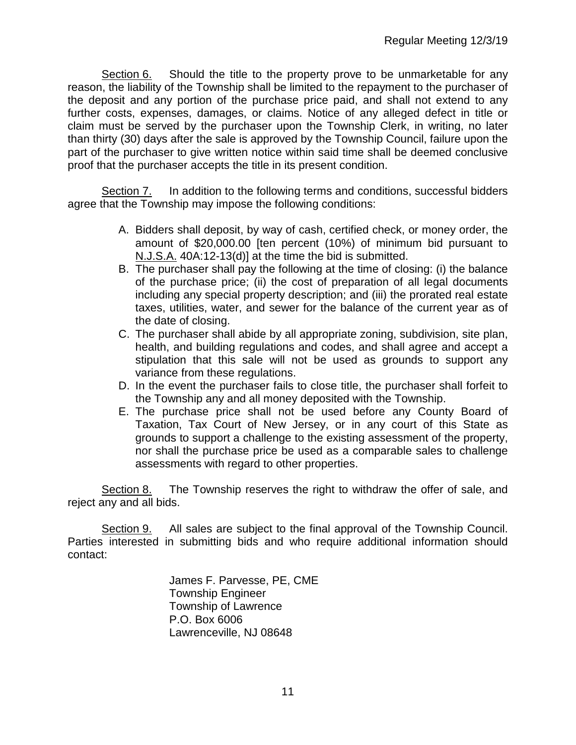Section 6. Should the title to the property prove to be unmarketable for any reason, the liability of the Township shall be limited to the repayment to the purchaser of the deposit and any portion of the purchase price paid, and shall not extend to any further costs, expenses, damages, or claims. Notice of any alleged defect in title or claim must be served by the purchaser upon the Township Clerk, in writing, no later than thirty (30) days after the sale is approved by the Township Council, failure upon the part of the purchaser to give written notice within said time shall be deemed conclusive proof that the purchaser accepts the title in its present condition.

Section 7. In addition to the following terms and conditions, successful bidders agree that the Township may impose the following conditions:

- A. Bidders shall deposit, by way of cash, certified check, or money order, the amount of \$20,000.00 [ten percent (10%) of minimum bid pursuant to N.J.S.A. 40A:12-13(d)] at the time the bid is submitted.
- B. The purchaser shall pay the following at the time of closing: (i) the balance of the purchase price; (ii) the cost of preparation of all legal documents including any special property description; and (iii) the prorated real estate taxes, utilities, water, and sewer for the balance of the current year as of the date of closing.
- C. The purchaser shall abide by all appropriate zoning, subdivision, site plan, health, and building regulations and codes, and shall agree and accept a stipulation that this sale will not be used as grounds to support any variance from these regulations.
- D. In the event the purchaser fails to close title, the purchaser shall forfeit to the Township any and all money deposited with the Township.
- E. The purchase price shall not be used before any County Board of Taxation, Tax Court of New Jersey, or in any court of this State as grounds to support a challenge to the existing assessment of the property, nor shall the purchase price be used as a comparable sales to challenge assessments with regard to other properties.

Section 8. The Township reserves the right to withdraw the offer of sale, and reject any and all bids.

Section 9. All sales are subject to the final approval of the Township Council. Parties interested in submitting bids and who require additional information should contact:

> James F. Parvesse, PE, CME Township Engineer Township of Lawrence P.O. Box 6006 Lawrenceville, NJ 08648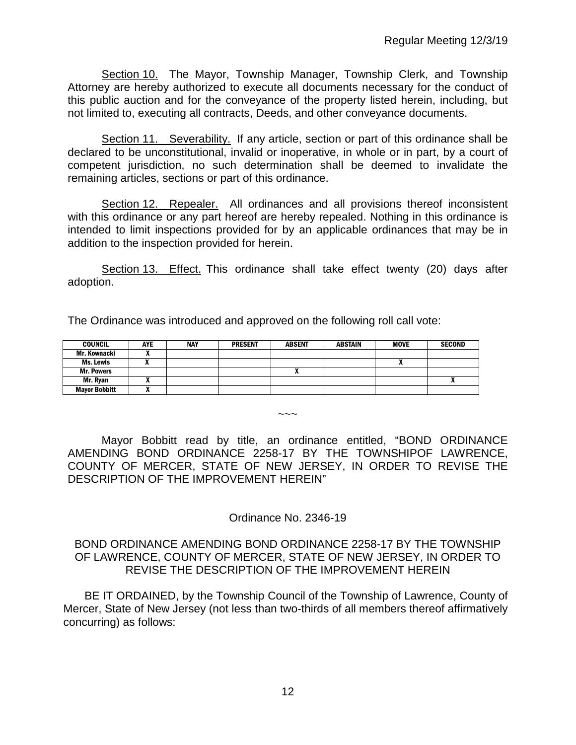Section 10. The Mayor, Township Manager, Township Clerk, and Township Attorney are hereby authorized to execute all documents necessary for the conduct of this public auction and for the conveyance of the property listed herein, including, but not limited to, executing all contracts, Deeds, and other conveyance documents.

Section 11. Severability. If any article, section or part of this ordinance shall be declared to be unconstitutional, invalid or inoperative, in whole or in part, by a court of competent jurisdiction, no such determination shall be deemed to invalidate the remaining articles, sections or part of this ordinance.

Section 12. Repealer.All ordinances and all provisions thereof inconsistent with this ordinance or any part hereof are hereby repealed. Nothing in this ordinance is intended to limit inspections provided for by an applicable ordinances that may be in addition to the inspection provided for herein.

Section 13. Effect. This ordinance shall take effect twenty (20) days after adoption.

The Ordinance was introduced and approved on the following roll call vote:

| <b>COUNCIL</b>       | <b>AYE</b> | <b>NAY</b> | <b>PRESENT</b> | <b>ABSENT</b> | <b>ABSTAIN</b> | <b>MOVE</b> | <b>SECOND</b> |
|----------------------|------------|------------|----------------|---------------|----------------|-------------|---------------|
| Mr. Kownacki         |            |            |                |               |                |             |               |
| Ms. Lewis            | ,,         |            |                |               |                | n           |               |
| <b>Mr. Powers</b>    |            |            |                |               |                |             |               |
| Mr. Ryan             |            |            |                |               |                |             |               |
| <b>Mayor Bobbitt</b> |            |            |                |               |                |             |               |

Mayor Bobbitt read by title, an ordinance entitled, "BOND ORDINANCE AMENDING BOND ORDINANCE 2258-17 BY THE TOWNSHIPOF LAWRENCE, COUNTY OF MERCER, STATE OF NEW JERSEY, IN ORDER TO REVISE THE DESCRIPTION OF THE IMPROVEMENT HEREIN"

 $\sim\sim\sim$ 

Ordinance No. 2346-19

BOND ORDINANCE AMENDING BOND ORDINANCE 2258-17 BY THE TOWNSHIP OF LAWRENCE, COUNTY OF MERCER, STATE OF NEW JERSEY, IN ORDER TO REVISE THE DESCRIPTION OF THE IMPROVEMENT HEREIN

BE IT ORDAINED, by the Township Council of the Township of Lawrence, County of Mercer, State of New Jersey (not less than two-thirds of all members thereof affirmatively concurring) as follows: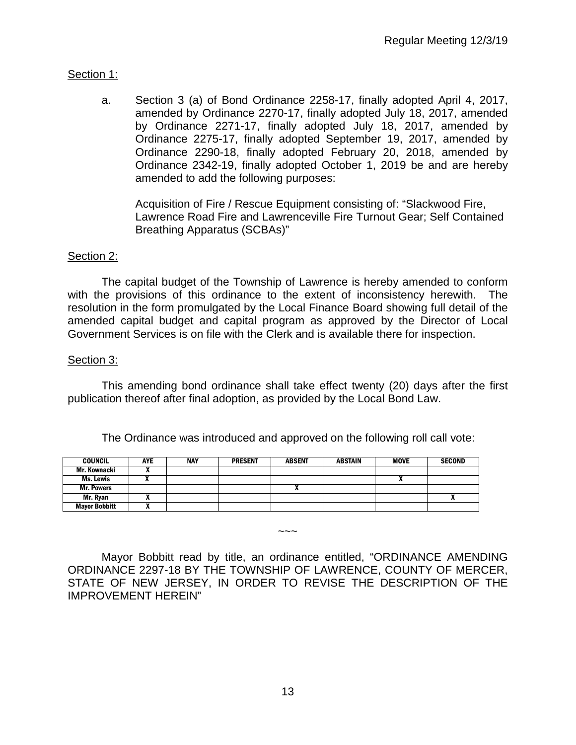# Section 1:

a. Section 3 (a) of Bond Ordinance 2258-17, finally adopted April 4, 2017, amended by Ordinance 2270-17, finally adopted July 18, 2017, amended by Ordinance 2271-17, finally adopted July 18, 2017, amended by Ordinance 2275-17, finally adopted September 19, 2017, amended by Ordinance 2290-18, finally adopted February 20, 2018, amended by Ordinance 2342-19, finally adopted October 1, 2019 be and are hereby amended to add the following purposes:

Acquisition of Fire / Rescue Equipment consisting of: "Slackwood Fire, Lawrence Road Fire and Lawrenceville Fire Turnout Gear; Self Contained Breathing Apparatus (SCBAs)"

# Section 2:

The capital budget of the Township of Lawrence is hereby amended to conform with the provisions of this ordinance to the extent of inconsistency herewith. The resolution in the form promulgated by the Local Finance Board showing full detail of the amended capital budget and capital program as approved by the Director of Local Government Services is on file with the Clerk and is available there for inspection.

## Section 3:

This amending bond ordinance shall take effect twenty (20) days after the first publication thereof after final adoption, as provided by the Local Bond Law.

The Ordinance was introduced and approved on the following roll call vote:

| <b>COUNCIL</b>       | AYE | <b>NAY</b> | <b>PRESENT</b> | <b>ABSENT</b> | ABSTAIN | <b>MOVE</b> | <b>SECOND</b> |
|----------------------|-----|------------|----------------|---------------|---------|-------------|---------------|
| Mr. Kownacki         |     |            |                |               |         |             |               |
| Ms. Lewis            |     |            |                |               |         |             |               |
| <b>Mr. Powers</b>    |     |            |                | ^             |         |             |               |
| Mr. Rvan             |     |            |                |               |         |             | ^             |
| <b>Mayor Bobbitt</b> |     |            |                |               |         |             |               |

Mayor Bobbitt read by title, an ordinance entitled, "ORDINANCE AMENDING ORDINANCE 2297-18 BY THE TOWNSHIP OF LAWRENCE, COUNTY OF MERCER, STATE OF NEW JERSEY, IN ORDER TO REVISE THE DESCRIPTION OF THE IMPROVEMENT HEREIN"

 $\sim\sim\sim$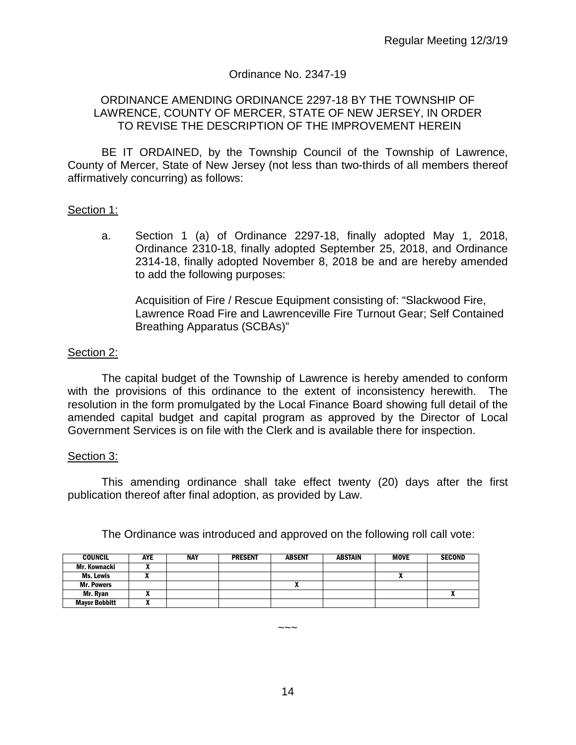## Ordinance No. 2347-19

#### ORDINANCE AMENDING ORDINANCE 2297-18 BY THE TOWNSHIP OF LAWRENCE, COUNTY OF MERCER, STATE OF NEW JERSEY, IN ORDER TO REVISE THE DESCRIPTION OF THE IMPROVEMENT HEREIN

BE IT ORDAINED, by the Township Council of the Township of Lawrence, County of Mercer, State of New Jersey (not less than two-thirds of all members thereof affirmatively concurring) as follows:

### Section 1:

a. Section 1 (a) of Ordinance 2297-18, finally adopted May 1, 2018, Ordinance 2310-18, finally adopted September 25, 2018, and Ordinance 2314-18, finally adopted November 8, 2018 be and are hereby amended to add the following purposes:

Acquisition of Fire / Rescue Equipment consisting of: "Slackwood Fire, Lawrence Road Fire and Lawrenceville Fire Turnout Gear; Self Contained Breathing Apparatus (SCBAs)"

### Section 2:

The capital budget of the Township of Lawrence is hereby amended to conform with the provisions of this ordinance to the extent of inconsistency herewith. The resolution in the form promulgated by the Local Finance Board showing full detail of the amended capital budget and capital program as approved by the Director of Local Government Services is on file with the Clerk and is available there for inspection.

#### Section 3:

This amending ordinance shall take effect twenty (20) days after the first publication thereof after final adoption, as provided by Law.

| <b>COUNCIL</b>       | <b>AYE</b> | <b>NAY</b> | <b>PRESENT</b> | <b>ABSENT</b> | <b>ABSTAIN</b> | <b>MOVE</b> | <b>SECOND</b> |
|----------------------|------------|------------|----------------|---------------|----------------|-------------|---------------|
| Mr. Kownacki         |            |            |                |               |                |             |               |
| Ms. Lewis            |            |            |                |               |                | "           |               |
| <b>Mr. Powers</b>    |            |            |                | "             |                |             |               |
| Mr. Ryan             |            |            |                |               |                |             |               |
| <b>Mayor Bobbitt</b> |            |            |                |               |                |             |               |

The Ordinance was introduced and approved on the following roll call vote:

14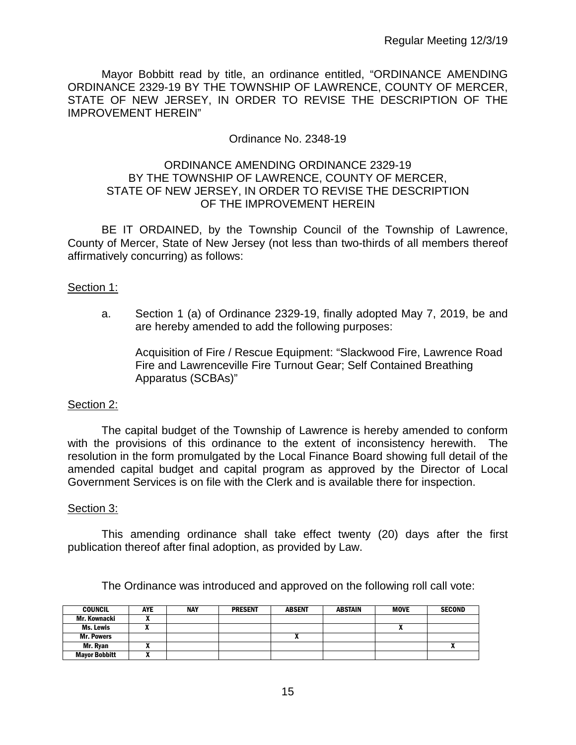Mayor Bobbitt read by title, an ordinance entitled, "ORDINANCE AMENDING ORDINANCE 2329-19 BY THE TOWNSHIP OF LAWRENCE, COUNTY OF MERCER, STATE OF NEW JERSEY, IN ORDER TO REVISE THE DESCRIPTION OF THE IMPROVEMENT HEREIN"

## Ordinance No. 2348-19

## ORDINANCE AMENDING ORDINANCE 2329-19 BY THE TOWNSHIP OF LAWRENCE, COUNTY OF MERCER, STATE OF NEW JERSEY, IN ORDER TO REVISE THE DESCRIPTION OF THE IMPROVEMENT HEREIN

BE IT ORDAINED, by the Township Council of the Township of Lawrence, County of Mercer, State of New Jersey (not less than two-thirds of all members thereof affirmatively concurring) as follows:

### Section 1:

a. Section 1 (a) of Ordinance 2329-19, finally adopted May 7, 2019, be and are hereby amended to add the following purposes:

Acquisition of Fire / Rescue Equipment: "Slackwood Fire, Lawrence Road Fire and Lawrenceville Fire Turnout Gear; Self Contained Breathing Apparatus (SCBAs)"

## Section 2:

The capital budget of the Township of Lawrence is hereby amended to conform with the provisions of this ordinance to the extent of inconsistency herewith. The resolution in the form promulgated by the Local Finance Board showing full detail of the amended capital budget and capital program as approved by the Director of Local Government Services is on file with the Clerk and is available there for inspection.

#### Section 3:

This amending ordinance shall take effect twenty (20) days after the first publication thereof after final adoption, as provided by Law.

The Ordinance was introduced and approved on the following roll call vote:

| <b>COUNCIL</b>       | <b>AYE</b> | <b>NAY</b> | <b>PRESENT</b> | <b>ABSENT</b> | <b>ABSTAIN</b> | <b>MOVE</b> | <b>SECOND</b> |
|----------------------|------------|------------|----------------|---------------|----------------|-------------|---------------|
| Mr. Kownacki         | ,,         |            |                |               |                |             |               |
| Ms. Lewis            |            |            |                |               |                |             |               |
| <b>Mr. Powers</b>    |            |            |                |               |                |             |               |
| Mr. Ryan             |            |            |                |               |                |             |               |
| <b>Mayor Bobbitt</b> |            |            |                |               |                |             |               |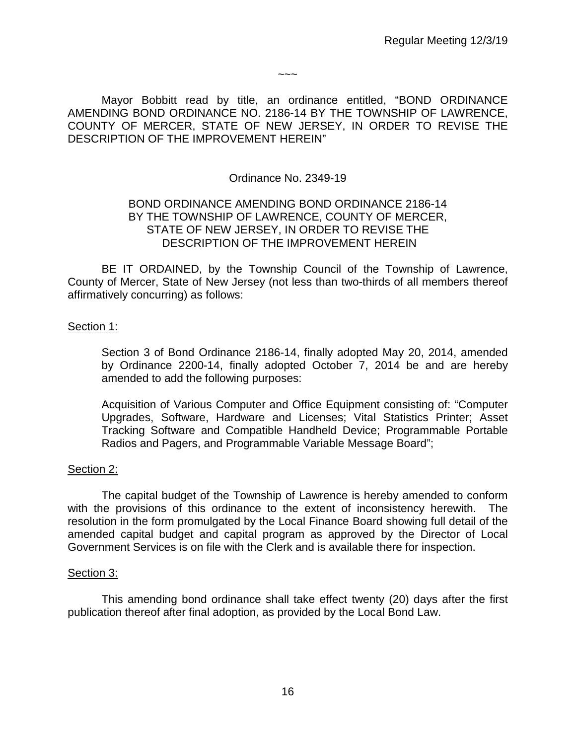$\sim\sim\sim$ 

Mayor Bobbitt read by title, an ordinance entitled, "BOND ORDINANCE AMENDING BOND ORDINANCE NO. 2186-14 BY THE TOWNSHIP OF LAWRENCE, COUNTY OF MERCER, STATE OF NEW JERSEY, IN ORDER TO REVISE THE DESCRIPTION OF THE IMPROVEMENT HEREIN"

## Ordinance No. 2349-19

## BOND ORDINANCE AMENDING BOND ORDINANCE 2186-14 BY THE TOWNSHIP OF LAWRENCE, COUNTY OF MERCER, STATE OF NEW JERSEY, IN ORDER TO REVISE THE DESCRIPTION OF THE IMPROVEMENT HEREIN

BE IT ORDAINED, by the Township Council of the Township of Lawrence, County of Mercer, State of New Jersey (not less than two-thirds of all members thereof affirmatively concurring) as follows:

## Section 1:

Section 3 of Bond Ordinance 2186-14, finally adopted May 20, 2014, amended by Ordinance 2200-14, finally adopted October 7, 2014 be and are hereby amended to add the following purposes:

Acquisition of Various Computer and Office Equipment consisting of: "Computer Upgrades, Software, Hardware and Licenses; Vital Statistics Printer; Asset Tracking Software and Compatible Handheld Device; Programmable Portable Radios and Pagers, and Programmable Variable Message Board";

## Section 2:

The capital budget of the Township of Lawrence is hereby amended to conform with the provisions of this ordinance to the extent of inconsistency herewith. The resolution in the form promulgated by the Local Finance Board showing full detail of the amended capital budget and capital program as approved by the Director of Local Government Services is on file with the Clerk and is available there for inspection.

#### Section 3:

This amending bond ordinance shall take effect twenty (20) days after the first publication thereof after final adoption, as provided by the Local Bond Law.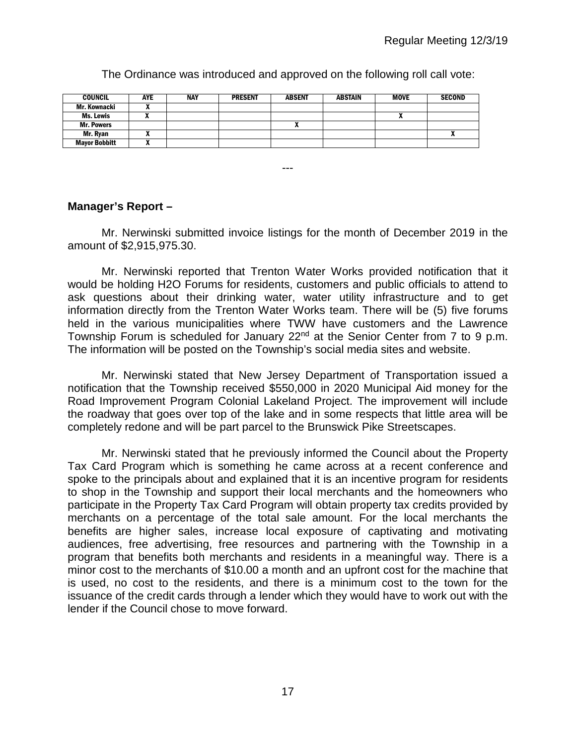The Ordinance was introduced and approved on the following roll call vote:

| <b>COUNCIL</b>       | AYE | <b>NAY</b> | <b>PRESENT</b> | <b>ABSENT</b> | ABSTAIN | <b>MOVE</b> | <b>SECOND</b> |
|----------------------|-----|------------|----------------|---------------|---------|-------------|---------------|
| Mr. Kownacki         | "   |            |                |               |         |             |               |
| Ms. Lewis            |     |            |                |               |         |             |               |
| <b>Mr. Powers</b>    |     |            |                | л             |         |             |               |
| Mr. Ryan             |     |            |                |               |         |             |               |
| <b>Mayor Bobbitt</b> | ^   |            |                |               |         |             |               |

# **Manager's Report –**

Mr. Nerwinski submitted invoice listings for the month of December 2019 in the amount of \$2,915,975.30.

---

Mr. Nerwinski reported that Trenton Water Works provided notification that it would be holding H2O Forums for residents, customers and public officials to attend to ask questions about their drinking water, water utility infrastructure and to get information directly from the Trenton Water Works team. There will be (5) five forums held in the various municipalities where TWW have customers and the Lawrence Township Forum is scheduled for January 22<sup>nd</sup> at the Senior Center from 7 to 9 p.m. The information will be posted on the Township's social media sites and website.

Mr. Nerwinski stated that New Jersey Department of Transportation issued a notification that the Township received \$550,000 in 2020 Municipal Aid money for the Road Improvement Program Colonial Lakeland Project. The improvement will include the roadway that goes over top of the lake and in some respects that little area will be completely redone and will be part parcel to the Brunswick Pike Streetscapes.

Mr. Nerwinski stated that he previously informed the Council about the Property Tax Card Program which is something he came across at a recent conference and spoke to the principals about and explained that it is an incentive program for residents to shop in the Township and support their local merchants and the homeowners who participate in the Property Tax Card Program will obtain property tax credits provided by merchants on a percentage of the total sale amount. For the local merchants the benefits are higher sales, increase local exposure of captivating and motivating audiences, free advertising, free resources and partnering with the Township in a program that benefits both merchants and residents in a meaningful way. There is a minor cost to the merchants of \$10.00 a month and an upfront cost for the machine that is used, no cost to the residents, and there is a minimum cost to the town for the issuance of the credit cards through a lender which they would have to work out with the lender if the Council chose to move forward.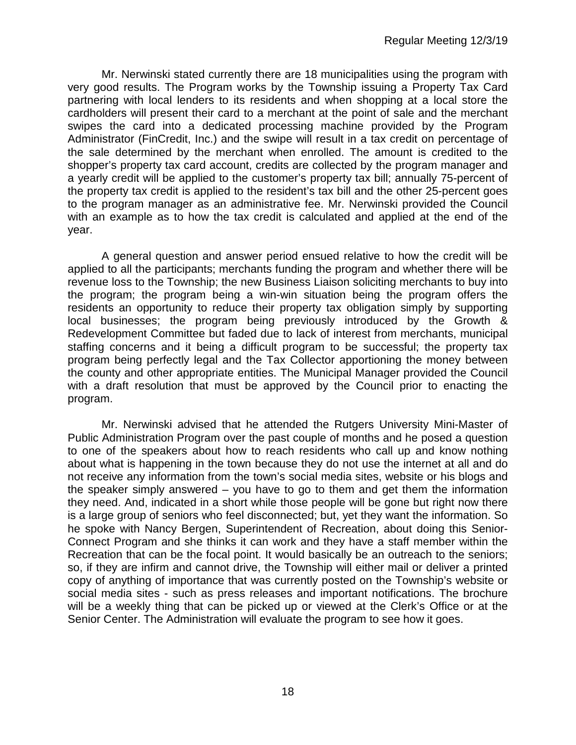Mr. Nerwinski stated currently there are 18 municipalities using the program with very good results. The Program works by the Township issuing a Property Tax Card partnering with local lenders to its residents and when shopping at a local store the cardholders will present their card to a merchant at the point of sale and the merchant swipes the card into a dedicated processing machine provided by the Program Administrator (FinCredit, Inc.) and the swipe will result in a tax credit on percentage of the sale determined by the merchant when enrolled. The amount is credited to the shopper's property tax card account, credits are collected by the program manager and a yearly credit will be applied to the customer's property tax bill; annually 75-percent of the property tax credit is applied to the resident's tax bill and the other 25-percent goes to the program manager as an administrative fee. Mr. Nerwinski provided the Council with an example as to how the tax credit is calculated and applied at the end of the year.

A general question and answer period ensued relative to how the credit will be applied to all the participants; merchants funding the program and whether there will be revenue loss to the Township; the new Business Liaison soliciting merchants to buy into the program; the program being a win-win situation being the program offers the residents an opportunity to reduce their property tax obligation simply by supporting local businesses; the program being previously introduced by the Growth & Redevelopment Committee but faded due to lack of interest from merchants, municipal staffing concerns and it being a difficult program to be successful; the property tax program being perfectly legal and the Tax Collector apportioning the money between the county and other appropriate entities. The Municipal Manager provided the Council with a draft resolution that must be approved by the Council prior to enacting the program.

Mr. Nerwinski advised that he attended the Rutgers University Mini-Master of Public Administration Program over the past couple of months and he posed a question to one of the speakers about how to reach residents who call up and know nothing about what is happening in the town because they do not use the internet at all and do not receive any information from the town's social media sites, website or his blogs and the speaker simply answered – you have to go to them and get them the information they need. And, indicated in a short while those people will be gone but right now there is a large group of seniors who feel disconnected; but, yet they want the information. So he spoke with Nancy Bergen, Superintendent of Recreation, about doing this Senior-Connect Program and she thinks it can work and they have a staff member within the Recreation that can be the focal point. It would basically be an outreach to the seniors; so, if they are infirm and cannot drive, the Township will either mail or deliver a printed copy of anything of importance that was currently posted on the Township's website or social media sites - such as press releases and important notifications. The brochure will be a weekly thing that can be picked up or viewed at the Clerk's Office or at the Senior Center. The Administration will evaluate the program to see how it goes.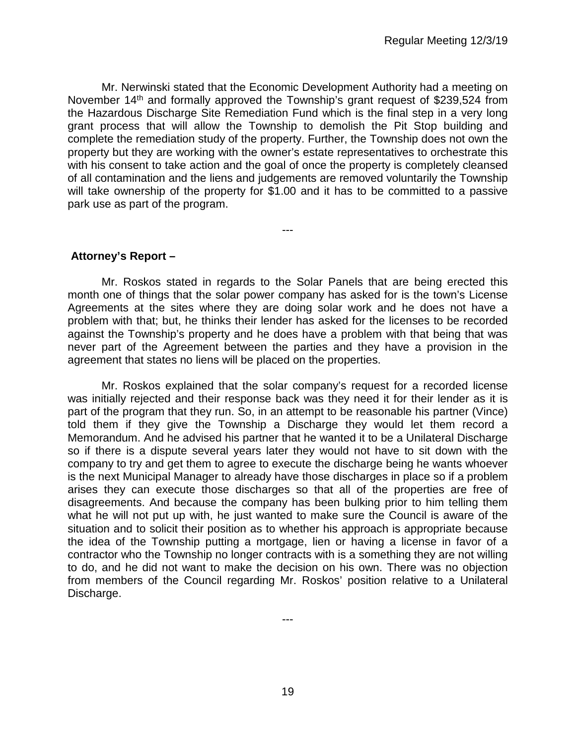Mr. Nerwinski stated that the Economic Development Authority had a meeting on November 14<sup>th</sup> and formally approved the Township's grant request of \$239,524 from the Hazardous Discharge Site Remediation Fund which is the final step in a very long grant process that will allow the Township to demolish the Pit Stop building and complete the remediation study of the property. Further, the Township does not own the property but they are working with the owner's estate representatives to orchestrate this with his consent to take action and the goal of once the property is completely cleansed of all contamination and the liens and judgements are removed voluntarily the Township will take ownership of the property for \$1.00 and it has to be committed to a passive park use as part of the program.

---

**Attorney's Report –**

Mr. Roskos stated in regards to the Solar Panels that are being erected this month one of things that the solar power company has asked for is the town's License Agreements at the sites where they are doing solar work and he does not have a problem with that; but, he thinks their lender has asked for the licenses to be recorded against the Township's property and he does have a problem with that being that was never part of the Agreement between the parties and they have a provision in the agreement that states no liens will be placed on the properties.

Mr. Roskos explained that the solar company's request for a recorded license was initially rejected and their response back was they need it for their lender as it is part of the program that they run. So, in an attempt to be reasonable his partner (Vince) told them if they give the Township a Discharge they would let them record a Memorandum. And he advised his partner that he wanted it to be a Unilateral Discharge so if there is a dispute several years later they would not have to sit down with the company to try and get them to agree to execute the discharge being he wants whoever is the next Municipal Manager to already have those discharges in place so if a problem arises they can execute those discharges so that all of the properties are free of disagreements. And because the company has been bulking prior to him telling them what he will not put up with, he just wanted to make sure the Council is aware of the situation and to solicit their position as to whether his approach is appropriate because the idea of the Township putting a mortgage, lien or having a license in favor of a contractor who the Township no longer contracts with is a something they are not willing to do, and he did not want to make the decision on his own. There was no objection from members of the Council regarding Mr. Roskos' position relative to a Unilateral Discharge.

---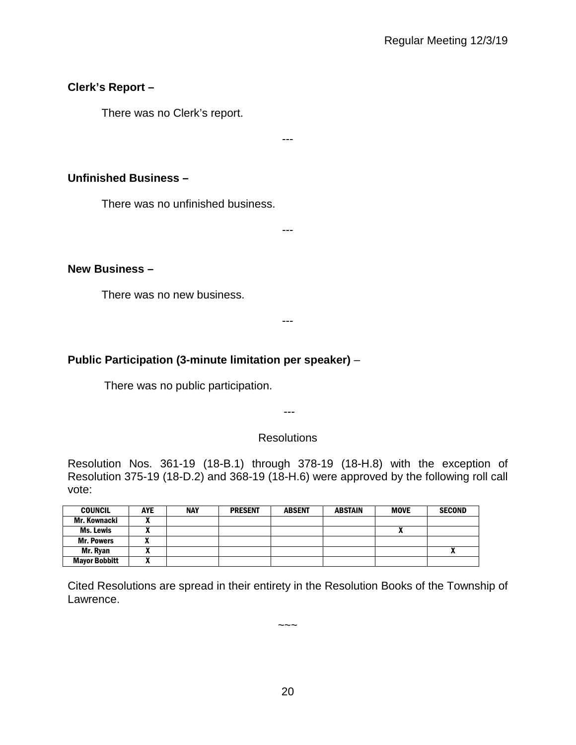# **Clerk's Report –**

There was no Clerk's report.

# **Unfinished Business –**

There was no unfinished business.

---

---

# **New Business –**

There was no new business.

#### ---

# **Public Participation (3-minute limitation per speaker)** –

There was no public participation.

---

# **Resolutions**

Resolution Nos. 361-19 (18-B.1) through 378-19 (18-H.8) with the exception of Resolution 375-19 (18-D.2) and 368-19 (18-H.6) were approved by the following roll call vote:

| <b>COUNCIL</b>       | <b>AYE</b>        | <b>NAY</b> | <b>PRESENT</b> | <b>ABSENT</b> | <b>ABSTAIN</b> | <b>MOVE</b> | <b>SECOND</b> |
|----------------------|-------------------|------------|----------------|---------------|----------------|-------------|---------------|
| Mr. Kownacki         |                   |            |                |               |                |             |               |
| Ms. Lewis            |                   |            |                |               |                | ,,          |               |
| <b>Mr. Powers</b>    | -<br>$\mathbf{r}$ |            |                |               |                |             |               |
| Mr. Ryan             | ~                 |            |                |               |                |             |               |
| <b>Mayor Bobbitt</b> | n                 |            |                |               |                |             |               |

Cited Resolutions are spread in their entirety in the Resolution Books of the Township of Lawrence.

 $\sim\sim\sim$ 

20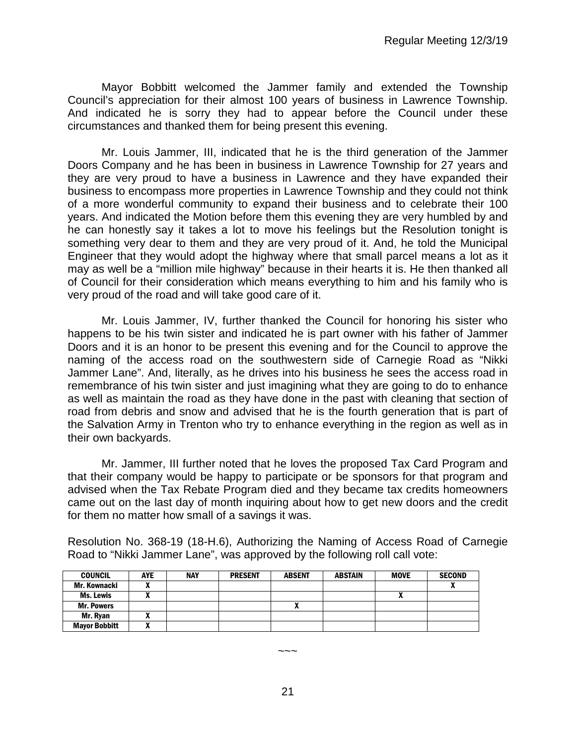Mayor Bobbitt welcomed the Jammer family and extended the Township Council's appreciation for their almost 100 years of business in Lawrence Township. And indicated he is sorry they had to appear before the Council under these circumstances and thanked them for being present this evening.

Mr. Louis Jammer, III, indicated that he is the third generation of the Jammer Doors Company and he has been in business in Lawrence Township for 27 years and they are very proud to have a business in Lawrence and they have expanded their business to encompass more properties in Lawrence Township and they could not think of a more wonderful community to expand their business and to celebrate their 100 years. And indicated the Motion before them this evening they are very humbled by and he can honestly say it takes a lot to move his feelings but the Resolution tonight is something very dear to them and they are very proud of it. And, he told the Municipal Engineer that they would adopt the highway where that small parcel means a lot as it may as well be a "million mile highway" because in their hearts it is. He then thanked all of Council for their consideration which means everything to him and his family who is very proud of the road and will take good care of it.

Mr. Louis Jammer, IV, further thanked the Council for honoring his sister who happens to be his twin sister and indicated he is part owner with his father of Jammer Doors and it is an honor to be present this evening and for the Council to approve the naming of the access road on the southwestern side of Carnegie Road as "Nikki Jammer Lane". And, literally, as he drives into his business he sees the access road in remembrance of his twin sister and just imagining what they are going to do to enhance as well as maintain the road as they have done in the past with cleaning that section of road from debris and snow and advised that he is the fourth generation that is part of the Salvation Army in Trenton who try to enhance everything in the region as well as in their own backyards.

Mr. Jammer, III further noted that he loves the proposed Tax Card Program and that their company would be happy to participate or be sponsors for that program and advised when the Tax Rebate Program died and they became tax credits homeowners came out on the last day of month inquiring about how to get new doors and the credit for them no matter how small of a savings it was.

Resolution No. 368-19 (18-H.6), Authorizing the Naming of Access Road of Carnegie Road to "Nikki Jammer Lane", was approved by the following roll call vote:

| <b>COUNCIL</b>       | <b>AYE</b> | <b>NAY</b> | <b>PRESENT</b> | <b>ABSENT</b> | <b>ABSTAIN</b> | <b>MOVE</b> | <b>SECOND</b> |
|----------------------|------------|------------|----------------|---------------|----------------|-------------|---------------|
| Mr. Kownacki         |            |            |                |               |                |             |               |
| <b>Ms. Lewis</b>     |            |            |                |               |                |             |               |
| <b>Mr. Powers</b>    |            |            |                |               |                |             |               |
| Mr. Ryan             |            |            |                |               |                |             |               |
| <b>Mayor Bobbitt</b> |            |            |                |               |                |             |               |

~~~

21